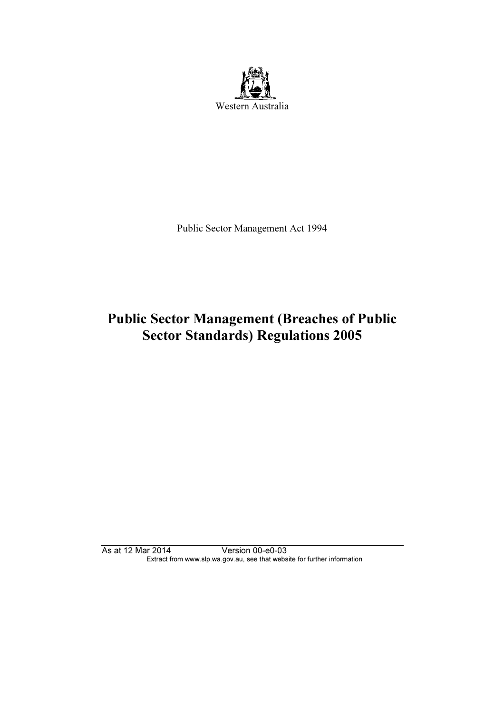

Public Sector Management Act 1994

# Public Sector Management (Breaches of Public Sector Standards) Regulations 2005

As at 12 Mar 2014 Version 00-e0-03 Extract from www.slp.wa.gov.au, see that website for further information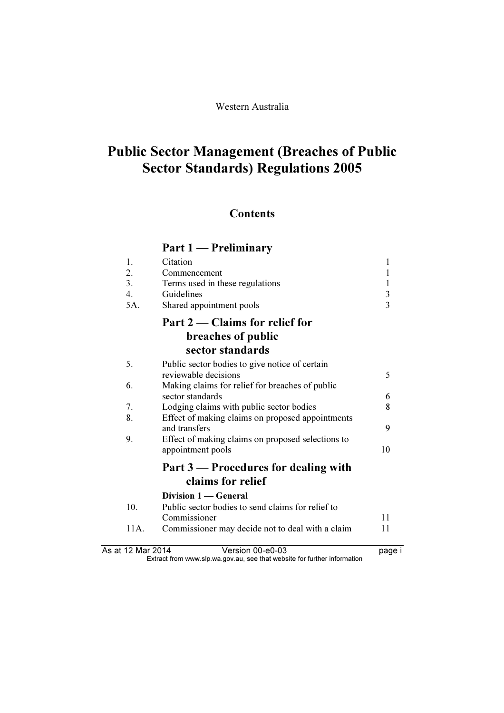# Public Sector Management (Breaches of Public Sector Standards) Regulations 2005

# **Contents**

# Part 1 — Preliminary

| 1.                | Citation                                          | 1              |
|-------------------|---------------------------------------------------|----------------|
| 2.                | Commencement                                      | 1              |
| 3.                | Terms used in these regulations                   | 1              |
| 4.                | Guidelines                                        | $\mathfrak{Z}$ |
| 5A.               | Shared appointment pools                          | $\overline{3}$ |
|                   | Part 2 – Claims for relief for                    |                |
|                   | breaches of public                                |                |
|                   | sector standards                                  |                |
| 5.                | Public sector bodies to give notice of certain    |                |
|                   | reviewable decisions                              | 5              |
| 6.                | Making claims for relief for breaches of public   |                |
|                   | sector standards                                  | 6              |
| 7.                | Lodging claims with public sector bodies          | 8              |
| 8.                | Effect of making claims on proposed appointments  |                |
|                   | and transfers                                     | 9              |
| 9.                | Effect of making claims on proposed selections to |                |
|                   | appointment pools                                 | 10             |
|                   | Part $3$ — Procedures for dealing with            |                |
|                   | claims for relief                                 |                |
|                   | Division 1 — General                              |                |
| 10.               | Public sector bodies to send claims for relief to |                |
|                   | Commissioner                                      | 11             |
| 11A.              | Commissioner may decide not to deal with a claim  | 11             |
| As at 12 Mar 2014 | Version 00-e0-03                                  | page i         |
|                   |                                                   |                |

 $\mathbf{F}$  from which was the set that we besite for further information  $\mathbf{F}$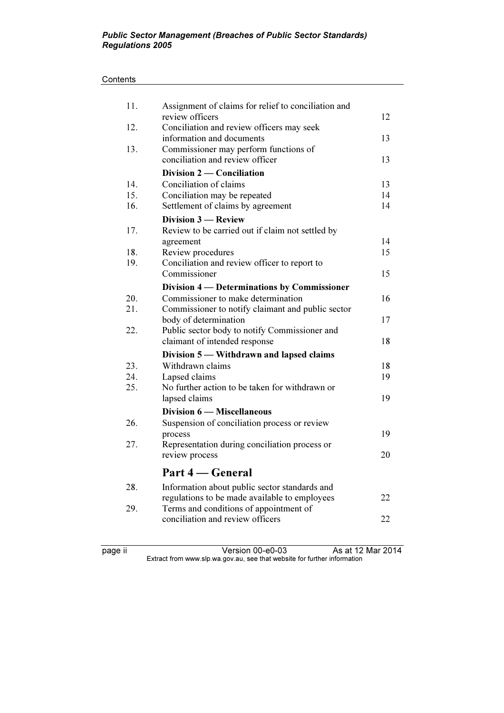#### **Contents**

| 11. | Assignment of claims for relief to conciliation and |    |
|-----|-----------------------------------------------------|----|
|     | review officers                                     | 12 |
| 12. | Conciliation and review officers may seek           |    |
|     | information and documents                           | 13 |
| 13. | Commissioner may perform functions of               |    |
|     | conciliation and review officer                     | 13 |
|     | Division 2 — Conciliation                           |    |
| 14. | Conciliation of claims                              | 13 |
| 15. | Conciliation may be repeated                        | 14 |
| 16. | Settlement of claims by agreement                   | 14 |
|     | Division 3 — Review                                 |    |
| 17. | Review to be carried out if claim not settled by    |    |
|     | agreement                                           | 14 |
| 18. | Review procedures                                   | 15 |
| 19. | Conciliation and review officer to report to        |    |
|     | Commissioner                                        | 15 |
|     | Division 4 - Determinations by Commissioner         |    |
| 20. | Commissioner to make determination                  | 16 |
| 21. | Commissioner to notify claimant and public sector   |    |
|     | body of determination                               | 17 |
| 22. | Public sector body to notify Commissioner and       |    |
|     | claimant of intended response                       | 18 |
|     | Division 5 — Withdrawn and lapsed claims            |    |
| 23. | Withdrawn claims                                    | 18 |
| 24. | Lapsed claims                                       | 19 |
| 25. | No further action to be taken for withdrawn or      |    |
|     | lapsed claims                                       | 19 |
|     | <b>Division 6 — Miscellaneous</b>                   |    |
| 26. | Suspension of conciliation process or review        |    |
|     | process                                             | 19 |
| 27. | Representation during conciliation process or       |    |
|     | review process                                      | 20 |
|     | Part 4 — General                                    |    |
| 28. | Information about public sector standards and       |    |
|     | regulations to be made available to employees       | 22 |
| 29. | Terms and conditions of appointment of              |    |
|     | conciliation and review officers                    | 22 |
|     |                                                     |    |
|     |                                                     |    |

page ii Version 00-e0-03 As at 12 Mar 2014  $\mathbf{F}$  from which was the set that we besite for further information  $\mathbf{F}$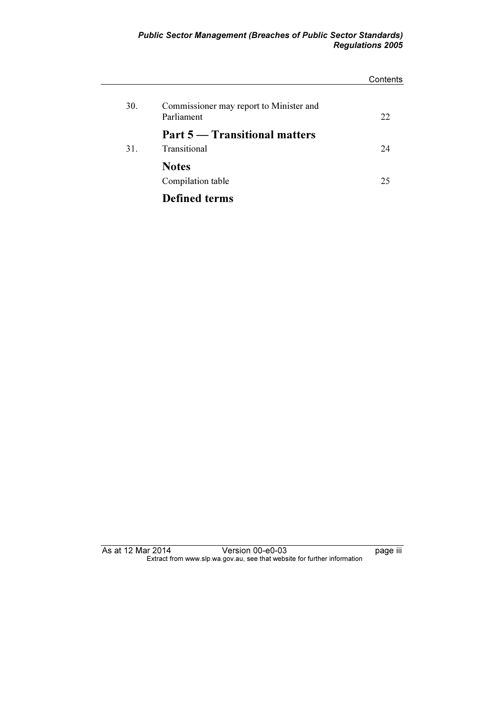#### Public Sector Management (Breaches of Public Sector Standards) Regulations 2005

|     |                                                       | Contents |
|-----|-------------------------------------------------------|----------|
| 30. | Commissioner may report to Minister and<br>Parliament | 22       |
| 31. | Part 5 — Transitional matters<br>Transitional         | 24       |
|     | <b>Notes</b><br>Compilation table                     | 25       |
|     | <b>Defined terms</b>                                  |          |

÷,

As at 12 Mar 2014 Version 00-e0-03 page iii Extract from www.slp.wa.gov.au, see that website for further information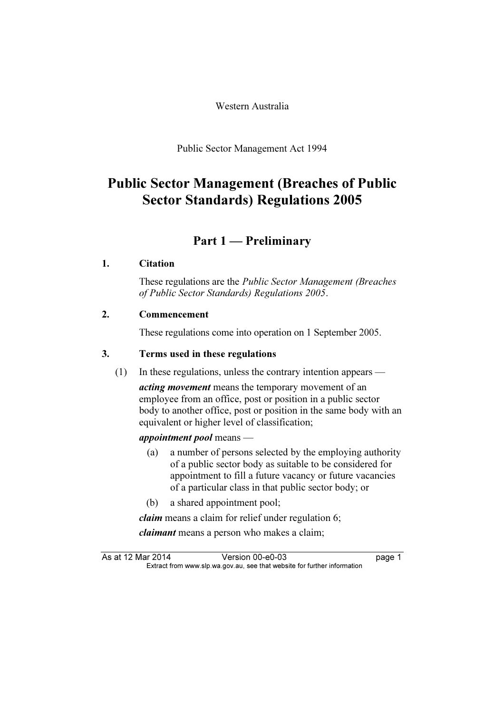Western Australia

Public Sector Management Act 1994

# Public Sector Management (Breaches of Public Sector Standards) Regulations 2005

## Part 1 — Preliminary

#### 1. Citation

 These regulations are the Public Sector Management (Breaches of Public Sector Standards) Regulations 2005.

#### 2. Commencement

These regulations come into operation on 1 September 2005.

#### 3. Terms used in these regulations

(1) In these regulations, unless the contrary intention appears —

*acting movement* means the temporary movement of an employee from an office, post or position in a public sector body to another office, post or position in the same body with an equivalent or higher level of classification;

#### appointment pool means —

- (a) a number of persons selected by the employing authority of a public sector body as suitable to be considered for appointment to fill a future vacancy or future vacancies of a particular class in that public sector body; or
- (b) a shared appointment pool;
- claim means a claim for relief under regulation 6;

claimant means a person who makes a claim:

As at 12 Mar 2014 Version 00-e0-03 page 1<br>Extract from www.slp.wa.gov.au, see that website for further information  $\mathbf{F}$  from which was the set that we besite for further information  $\mathbf{F}$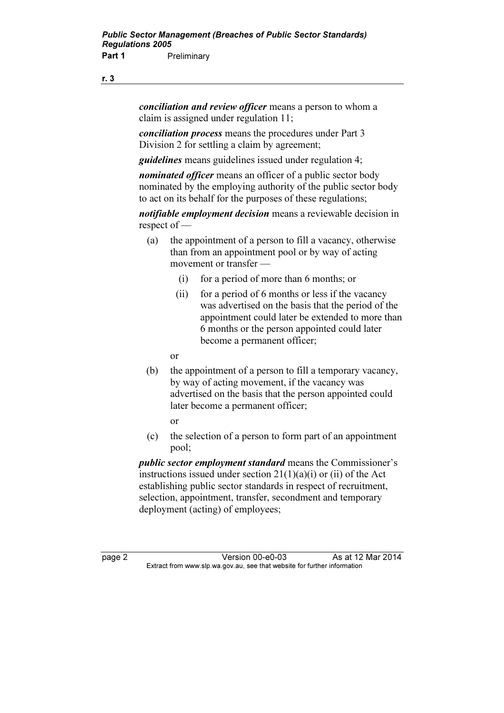conciliation and review officer means a person to whom a claim is assigned under regulation 11;

conciliation process means the procedures under Part 3 Division 2 for settling a claim by agreement;

guidelines means guidelines issued under regulation 4;

nominated officer means an officer of a public sector body nominated by the employing authority of the public sector body to act on its behalf for the purposes of these regulations;

notifiable employment decision means a reviewable decision in respect of —

- (a) the appointment of a person to fill a vacancy, otherwise than from an appointment pool or by way of acting movement or transfer —
	- (i) for a period of more than 6 months; or
	- (ii) for a period of 6 months or less if the vacancy was advertised on the basis that the period of the appointment could later be extended to more than 6 months or the person appointed could later become a permanent officer;
	- or
- (b) the appointment of a person to fill a temporary vacancy, by way of acting movement, if the vacancy was advertised on the basis that the person appointed could later become a permanent officer;
	- or
- (c) the selection of a person to form part of an appointment pool;

public sector employment standard means the Commissioner's instructions issued under section  $21(1)(a)(i)$  or (ii) of the Act establishing public sector standards in respect of recruitment, selection, appointment, transfer, secondment and temporary deployment (acting) of employees;

page 2 Version 00-e0-03 As at 12 Mar 2014<br>Extract from www.slp.wa.gov.au, see that website for further information  $\mathbf{F}$  from which was the set that we besite for further information  $\mathbf{F}$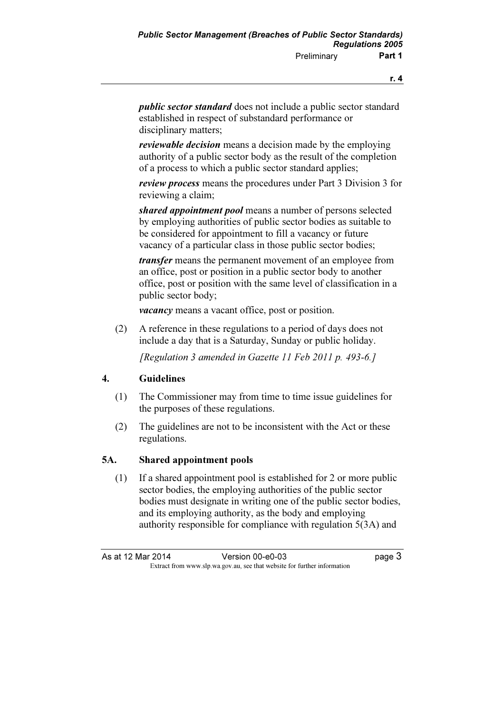public sector standard does not include a public sector standard established in respect of substandard performance or disciplinary matters;

reviewable decision means a decision made by the employing authority of a public sector body as the result of the completion of a process to which a public sector standard applies;

review process means the procedures under Part 3 Division 3 for reviewing a claim;

shared appointment pool means a number of persons selected by employing authorities of public sector bodies as suitable to be considered for appointment to fill a vacancy or future vacancy of a particular class in those public sector bodies;

transfer means the permanent movement of an employee from an office, post or position in a public sector body to another office, post or position with the same level of classification in a public sector body;

vacancy means a vacant office, post or position.

 (2) A reference in these regulations to a period of days does not include a day that is a Saturday, Sunday or public holiday.

[Regulation 3 amended in Gazette 11 Feb 2011 p. 493-6.]

#### 4. Guidelines

- (1) The Commissioner may from time to time issue guidelines for the purposes of these regulations.
- (2) The guidelines are not to be inconsistent with the Act or these regulations.

#### 5A. Shared appointment pools

 (1) If a shared appointment pool is established for 2 or more public sector bodies, the employing authorities of the public sector bodies must designate in writing one of the public sector bodies, and its employing authority, as the body and employing authority responsible for compliance with regulation 5(3A) and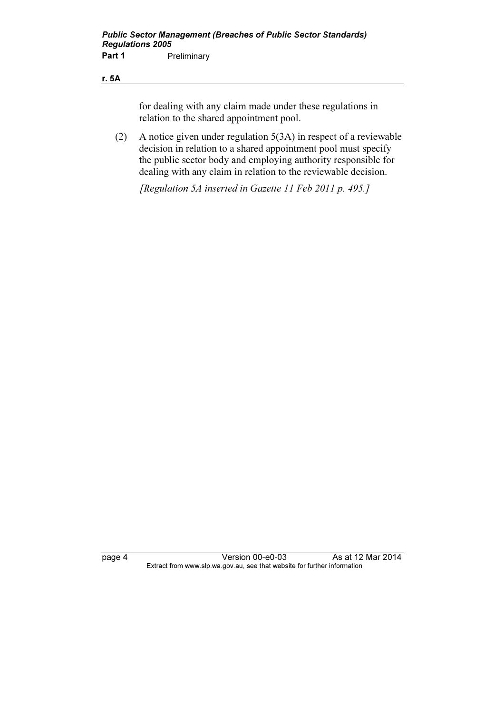#### r. 5A

for dealing with any claim made under these regulations in relation to the shared appointment pool.

 (2) A notice given under regulation 5(3A) in respect of a reviewable decision in relation to a shared appointment pool must specify the public sector body and employing authority responsible for dealing with any claim in relation to the reviewable decision.

[Regulation 5A inserted in Gazette 11 Feb 2011 p. 495.]

page 4 Version 00-e0-03 As at 12 Mar 2014 Extract from www.slp.wa.gov.au, see that website for further information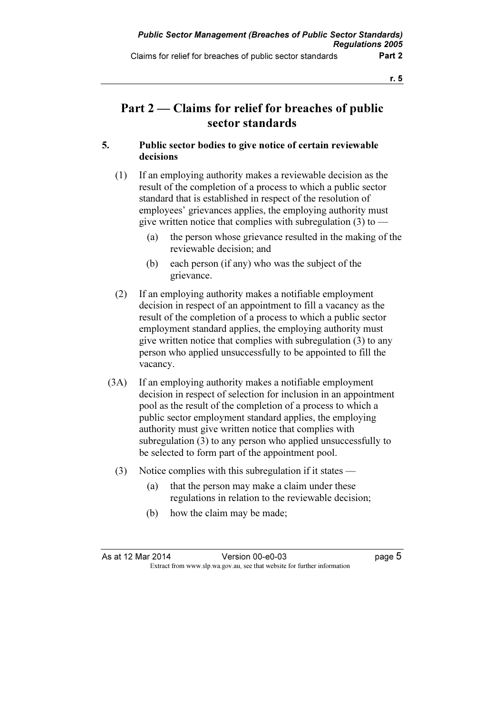# Part 2 — Claims for relief for breaches of public sector standards

#### 5. Public sector bodies to give notice of certain reviewable decisions

- (1) If an employing authority makes a reviewable decision as the result of the completion of a process to which a public sector standard that is established in respect of the resolution of employees' grievances applies, the employing authority must give written notice that complies with subregulation  $(3)$  to —
	- (a) the person whose grievance resulted in the making of the reviewable decision; and
	- (b) each person (if any) who was the subject of the grievance.
- (2) If an employing authority makes a notifiable employment decision in respect of an appointment to fill a vacancy as the result of the completion of a process to which a public sector employment standard applies, the employing authority must give written notice that complies with subregulation (3) to any person who applied unsuccessfully to be appointed to fill the vacancy.
- (3A) If an employing authority makes a notifiable employment decision in respect of selection for inclusion in an appointment pool as the result of the completion of a process to which a public sector employment standard applies, the employing authority must give written notice that complies with subregulation (3) to any person who applied unsuccessfully to be selected to form part of the appointment pool.
	- (3) Notice complies with this subregulation if it states
		- (a) that the person may make a claim under these regulations in relation to the reviewable decision;
		- (b) how the claim may be made;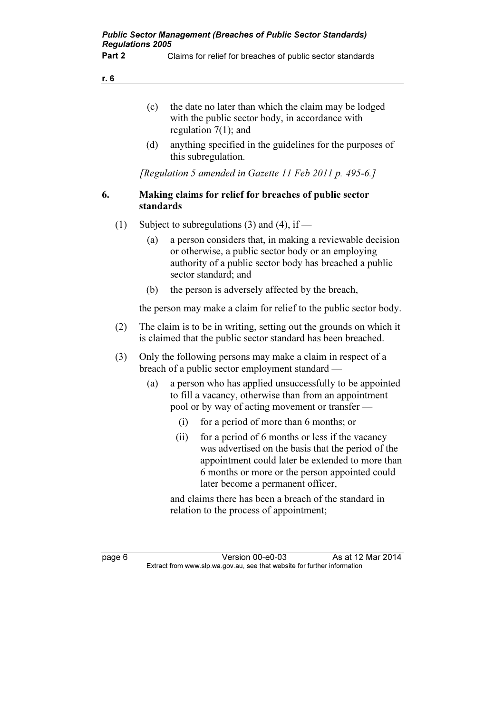| ۰. | ۰.     |
|----|--------|
|    |        |
|    | $\sim$ |
|    |        |
|    |        |

| the date no later than which the claim may be lodged |
|------------------------------------------------------|
| with the public sector body, in accordance with      |
| regulation $7(1)$ ; and                              |

 (d) anything specified in the guidelines for the purposes of this subregulation.

[Regulation 5 amended in Gazette 11 Feb 2011 p. 495-6.]

#### 6. Making claims for relief for breaches of public sector standards

- (1) Subject to subregulations (3) and (4), if
	- (a) a person considers that, in making a reviewable decision or otherwise, a public sector body or an employing authority of a public sector body has breached a public sector standard; and
	- (b) the person is adversely affected by the breach,

the person may make a claim for relief to the public sector body.

- (2) The claim is to be in writing, setting out the grounds on which it is claimed that the public sector standard has been breached.
- (3) Only the following persons may make a claim in respect of a breach of a public sector employment standard -
	- (a) a person who has applied unsuccessfully to be appointed to fill a vacancy, otherwise than from an appointment pool or by way of acting movement or transfer -
		- (i) for a period of more than 6 months; or
		- (ii) for a period of 6 months or less if the vacancy was advertised on the basis that the period of the appointment could later be extended to more than 6 months or more or the person appointed could later become a permanent officer,

 and claims there has been a breach of the standard in relation to the process of appointment;

page 6 Version 00-e0-03 As at 12 Mar 2014<br>Extract from www.slp.wa.gov.au, see that website for further information  $\mathbf{F}$  from which was the set that we besite for further information  $\mathbf{F}$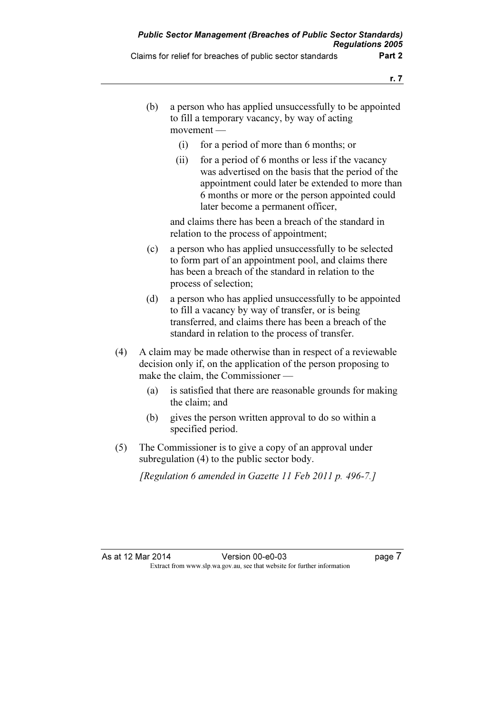- r. 7
- (b) a person who has applied unsuccessfully to be appointed to fill a temporary vacancy, by way of acting movement —
	- (i) for a period of more than 6 months; or
	- (ii) for a period of 6 months or less if the vacancy was advertised on the basis that the period of the appointment could later be extended to more than 6 months or more or the person appointed could later become a permanent officer,

 and claims there has been a breach of the standard in relation to the process of appointment;

- (c) a person who has applied unsuccessfully to be selected to form part of an appointment pool, and claims there has been a breach of the standard in relation to the process of selection;
- (d) a person who has applied unsuccessfully to be appointed to fill a vacancy by way of transfer, or is being transferred, and claims there has been a breach of the standard in relation to the process of transfer.
- (4) A claim may be made otherwise than in respect of a reviewable decision only if, on the application of the person proposing to make the claim, the Commissioner —
	- (a) is satisfied that there are reasonable grounds for making the claim; and
	- (b) gives the person written approval to do so within a specified period.
- (5) The Commissioner is to give a copy of an approval under subregulation (4) to the public sector body.

[Regulation 6 amended in Gazette 11 Feb 2011 p. 496-7.]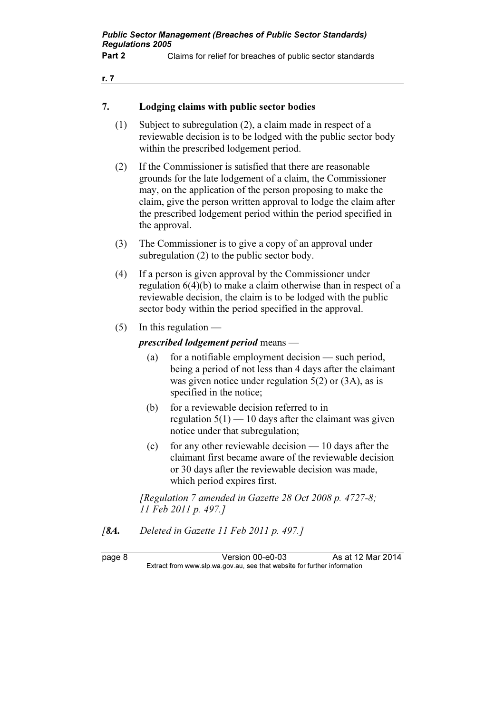|--|--|--|--|

#### 7. Lodging claims with public sector bodies

- (1) Subject to subregulation (2), a claim made in respect of a reviewable decision is to be lodged with the public sector body within the prescribed lodgement period.
- (2) If the Commissioner is satisfied that there are reasonable grounds for the late lodgement of a claim, the Commissioner may, on the application of the person proposing to make the claim, give the person written approval to lodge the claim after the prescribed lodgement period within the period specified in the approval.
- (3) The Commissioner is to give a copy of an approval under subregulation (2) to the public sector body.
- (4) If a person is given approval by the Commissioner under regulation 6(4)(b) to make a claim otherwise than in respect of a reviewable decision, the claim is to be lodged with the public sector body within the period specified in the approval.
- $(5)$  In this regulation —

#### prescribed lodgement period means —

- (a) for a notifiable employment decision such period, being a period of not less than 4 days after the claimant was given notice under regulation 5(2) or (3A), as is specified in the notice;
- (b) for a reviewable decision referred to in regulation  $5(1)$  — 10 days after the claimant was given notice under that subregulation;
- (c) for any other reviewable decision  $-10$  days after the claimant first became aware of the reviewable decision or 30 days after the reviewable decision was made, which period expires first.

[Regulation 7 amended in Gazette 28 Oct 2008 p. 4727-8; 11 Feb 2011 p. 497.]

[8A. Deleted in Gazette 11 Feb 2011 p. 497.]

page 8 Version 00-e0-03 As at 12 Mar 2014<br>Extract from www.slp.wa.gov.au, see that website for further information  $\mathbf{F}$  from which was the set that we besite for further information  $\mathbf{F}$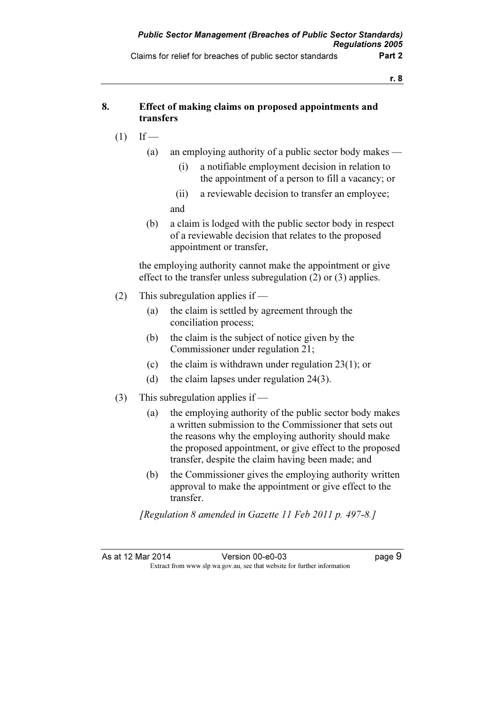#### 8. Effect of making claims on proposed appointments and transfers

- $(1)$  If
	- (a) an employing authority of a public sector body makes
		- (i) a notifiable employment decision in relation to the appointment of a person to fill a vacancy; or
		- (ii) a reviewable decision to transfer an employee; and
	- (b) a claim is lodged with the public sector body in respect of a reviewable decision that relates to the proposed appointment or transfer,

 the employing authority cannot make the appointment or give effect to the transfer unless subregulation (2) or (3) applies.

- (2) This subregulation applies if
	- (a) the claim is settled by agreement through the conciliation process;
	- (b) the claim is the subject of notice given by the Commissioner under regulation 21;
	- (c) the claim is withdrawn under regulation  $23(1)$ ; or
	- (d) the claim lapses under regulation 24(3).
- (3) This subregulation applies if
	- (a) the employing authority of the public sector body makes a written submission to the Commissioner that sets out the reasons why the employing authority should make the proposed appointment, or give effect to the proposed transfer, despite the claim having been made; and
	- (b) the Commissioner gives the employing authority written approval to make the appointment or give effect to the transfer.

[Regulation 8 amended in Gazette 11 Feb 2011 p. 497-8.]

r. 8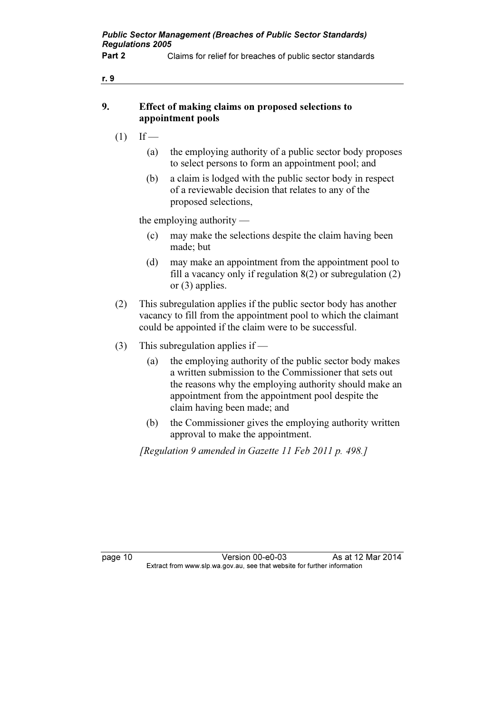| <br>. . |  |  |
|---------|--|--|
|         |  |  |

#### 9. Effect of making claims on proposed selections to appointment pools

- $(1)$  If
	- (a) the employing authority of a public sector body proposes to select persons to form an appointment pool; and
	- (b) a claim is lodged with the public sector body in respect of a reviewable decision that relates to any of the proposed selections,

the employing authority —

- (c) may make the selections despite the claim having been made; but
- (d) may make an appointment from the appointment pool to fill a vacancy only if regulation 8(2) or subregulation (2) or (3) applies.
- (2) This subregulation applies if the public sector body has another vacancy to fill from the appointment pool to which the claimant could be appointed if the claim were to be successful.
- (3) This subregulation applies if
	- (a) the employing authority of the public sector body makes a written submission to the Commissioner that sets out the reasons why the employing authority should make an appointment from the appointment pool despite the claim having been made; and
	- (b) the Commissioner gives the employing authority written approval to make the appointment.

[Regulation 9 amended in Gazette 11 Feb 2011 p. 498.]

page 10 Version 00-e0-03 As at 12 Mar 2014<br>Extract from www.slp.wa.gov.au, see that website for further information  $\mathbf{F}$  from which was the set that we besite for further information  $\mathbf{F}$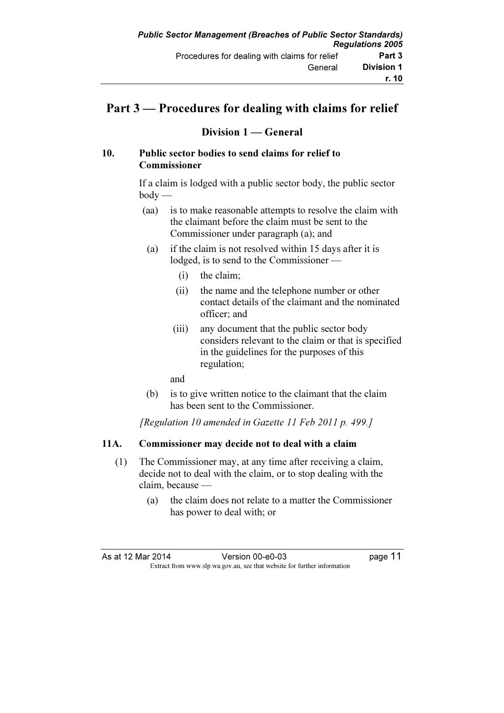## Part 3 — Procedures for dealing with claims for relief

## Division 1 — General

#### 10. Public sector bodies to send claims for relief to Commissioner

 If a claim is lodged with a public sector body, the public sector body —

- (aa) is to make reasonable attempts to resolve the claim with the claimant before the claim must be sent to the Commissioner under paragraph (a); and
- (a) if the claim is not resolved within 15 days after it is lodged, is to send to the Commissioner —
	- (i) the claim;
	- (ii) the name and the telephone number or other contact details of the claimant and the nominated officer; and
	- (iii) any document that the public sector body considers relevant to the claim or that is specified in the guidelines for the purposes of this regulation;

and

 (b) is to give written notice to the claimant that the claim has been sent to the Commissioner.

[Regulation 10 amended in Gazette 11 Feb 2011 p. 499.]

#### 11A. Commissioner may decide not to deal with a claim

- (1) The Commissioner may, at any time after receiving a claim, decide not to deal with the claim, or to stop dealing with the claim, because —
	- (a) the claim does not relate to a matter the Commissioner has power to deal with; or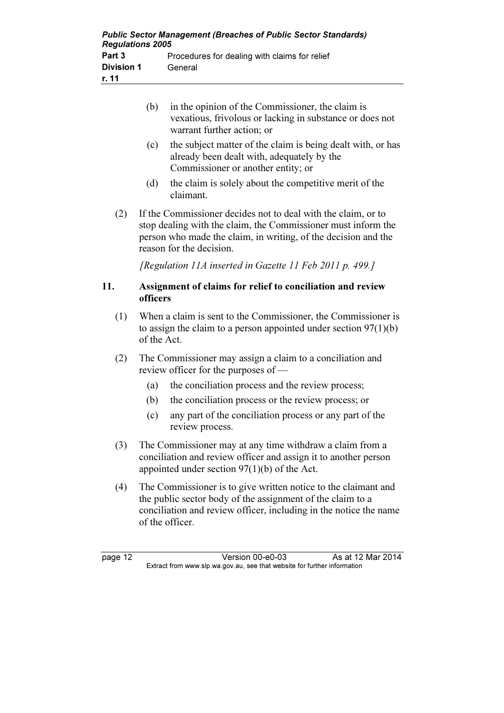| <b>Public Sector Management (Breaches of Public Sector Standards)</b><br><b>Regulations 2005</b> |                                               |  |
|--------------------------------------------------------------------------------------------------|-----------------------------------------------|--|
| Part 3                                                                                           | Procedures for dealing with claims for relief |  |
| <b>Division 1</b>                                                                                | General                                       |  |
| r. 11                                                                                            |                                               |  |

|     | (b)         | in the opinion of the Commissioner, the claim is<br>vexatious, frivolous or lacking in substance or does not<br>warrant further action; or                                                                                   |
|-----|-------------|------------------------------------------------------------------------------------------------------------------------------------------------------------------------------------------------------------------------------|
|     | (c)         | the subject matter of the claim is being dealt with, or has<br>already been dealt with, adequately by the<br>Commissioner or another entity; or                                                                              |
|     | (d)         | the claim is solely about the competitive merit of the<br>claimant.                                                                                                                                                          |
| (2) |             | If the Commissioner decides not to deal with the claim, or to<br>stop dealing with the claim, the Commissioner must inform the<br>person who made the claim, in writing, of the decision and the<br>reason for the decision. |
|     |             | [Regulation 11A inserted in Gazette 11 Feb 2011 p. 499.]                                                                                                                                                                     |
|     |             |                                                                                                                                                                                                                              |
| 11. | officers    | Assignment of claims for relief to conciliation and review                                                                                                                                                                   |
| (1) | of the Act. | When a claim is sent to the Commissioner, the Commissioner is<br>to assign the claim to a person appointed under section $97(1)(b)$                                                                                          |
| (2) |             | The Commissioner may assign a claim to a conciliation and<br>review officer for the purposes of $-$                                                                                                                          |
|     | (a)         | the conciliation process and the review process;                                                                                                                                                                             |
|     | (b)         | the conciliation process or the review process; or                                                                                                                                                                           |
|     | (c)         | any part of the conciliation process or any part of the<br>review process.                                                                                                                                                   |

- conciliation and review officer and assign it to another person appointed under section 97(1)(b) of the Act.
- (4) The Commissioner is to give written notice to the claimant and the public sector body of the assignment of the claim to a conciliation and review officer, including in the notice the name of the officer.

page 12 Version 00-e0-03 As at 12 Mar 2014 Extract from www.slp.wa.gov.au, see that website for further information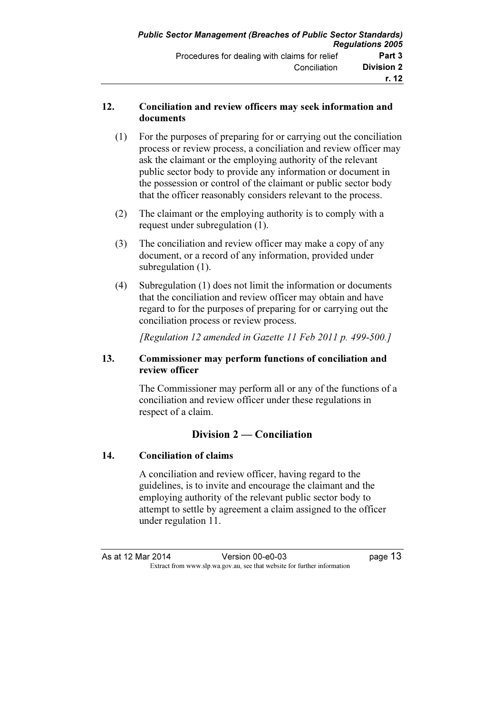### 12. Conciliation and review officers may seek information and documents

- (1) For the purposes of preparing for or carrying out the conciliation process or review process, a conciliation and review officer may ask the claimant or the employing authority of the relevant public sector body to provide any information or document in the possession or control of the claimant or public sector body that the officer reasonably considers relevant to the process.
- (2) The claimant or the employing authority is to comply with a request under subregulation (1).
- (3) The conciliation and review officer may make a copy of any document, or a record of any information, provided under subregulation  $(1)$ .
- (4) Subregulation (1) does not limit the information or documents that the conciliation and review officer may obtain and have regard to for the purposes of preparing for or carrying out the conciliation process or review process.

[Regulation 12 amended in Gazette 11 Feb 2011 p. 499-500.]

#### 13. Commissioner may perform functions of conciliation and review officer

 The Commissioner may perform all or any of the functions of a conciliation and review officer under these regulations in respect of a claim.

## Division 2 — Conciliation

#### 14. Conciliation of claims

 A conciliation and review officer, having regard to the guidelines, is to invite and encourage the claimant and the employing authority of the relevant public sector body to attempt to settle by agreement a claim assigned to the officer under regulation 11.

As at 12 Mar 2014 Version 00-e0-03 page 13  $\mathbf{F}_{\text{max}}$  from which since the further information function for further information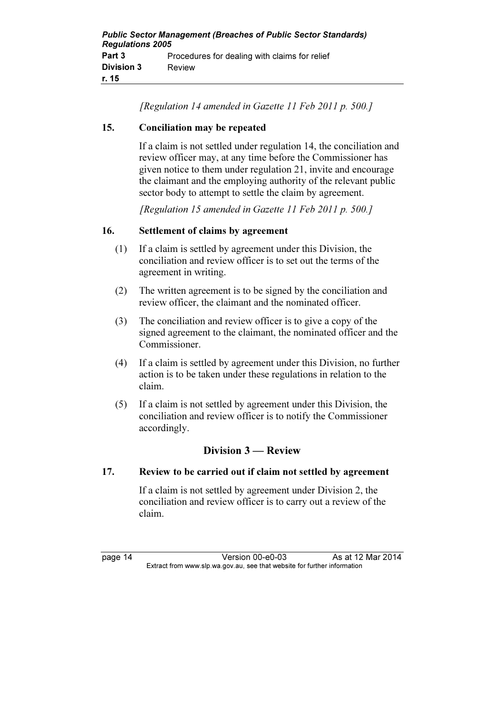| <b>Regulations 2005</b> | <b>Public Sector Management (Breaches of Public Sector Standards)</b> |
|-------------------------|-----------------------------------------------------------------------|
| Part 3                  | Procedures for dealing with claims for relief                         |
| <b>Division 3</b>       | Review                                                                |
| r. 15                   |                                                                       |

[Regulation 14 amended in Gazette 11 Feb 2011 p. 500.]

#### 15. Conciliation may be repeated

 If a claim is not settled under regulation 14, the conciliation and review officer may, at any time before the Commissioner has given notice to them under regulation 21, invite and encourage the claimant and the employing authority of the relevant public sector body to attempt to settle the claim by agreement.

[Regulation 15 amended in Gazette 11 Feb 2011 p. 500.]

#### 16. Settlement of claims by agreement

- (1) If a claim is settled by agreement under this Division, the conciliation and review officer is to set out the terms of the agreement in writing.
- (2) The written agreement is to be signed by the conciliation and review officer, the claimant and the nominated officer.
- (3) The conciliation and review officer is to give a copy of the signed agreement to the claimant, the nominated officer and the Commissioner.
- (4) If a claim is settled by agreement under this Division, no further action is to be taken under these regulations in relation to the claim.
- (5) If a claim is not settled by agreement under this Division, the conciliation and review officer is to notify the Commissioner accordingly.

#### Division 3 — Review

#### 17. Review to be carried out if claim not settled by agreement

 If a claim is not settled by agreement under Division 2, the conciliation and review officer is to carry out a review of the claim.

page 14 Version 00-e0-03 As at 12 Mar 2014<br>Extract from www.slp.wa.gov.au, see that website for further information  $\mathbf{F}$  from which was the set that we besite for further information  $\mathbf{F}$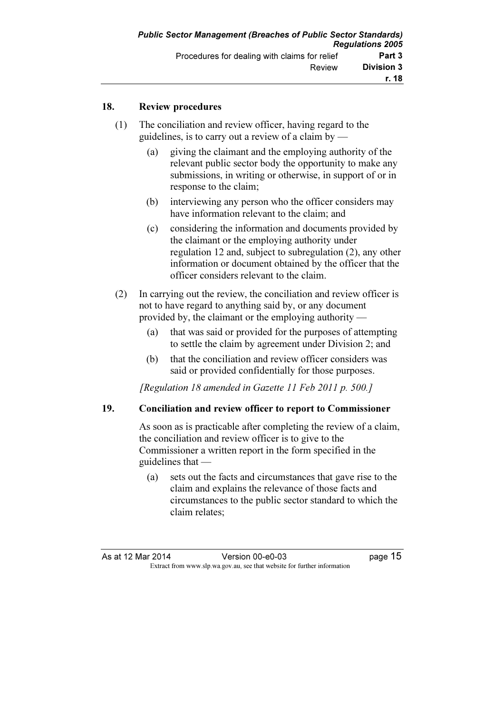#### 18. Review procedures

- (1) The conciliation and review officer, having regard to the guidelines, is to carry out a review of a claim by —
	- (a) giving the claimant and the employing authority of the relevant public sector body the opportunity to make any submissions, in writing or otherwise, in support of or in response to the claim;
	- (b) interviewing any person who the officer considers may have information relevant to the claim; and
	- (c) considering the information and documents provided by the claimant or the employing authority under regulation 12 and, subject to subregulation (2), any other information or document obtained by the officer that the officer considers relevant to the claim.
- (2) In carrying out the review, the conciliation and review officer is not to have regard to anything said by, or any document provided by, the claimant or the employing authority —
	- (a) that was said or provided for the purposes of attempting to settle the claim by agreement under Division 2; and
	- (b) that the conciliation and review officer considers was said or provided confidentially for those purposes.

[Regulation 18 amended in Gazette 11 Feb 2011 p. 500.]

#### 19. Conciliation and review officer to report to Commissioner

 As soon as is practicable after completing the review of a claim, the conciliation and review officer is to give to the Commissioner a written report in the form specified in the guidelines that —

 (a) sets out the facts and circumstances that gave rise to the claim and explains the relevance of those facts and circumstances to the public sector standard to which the claim relates;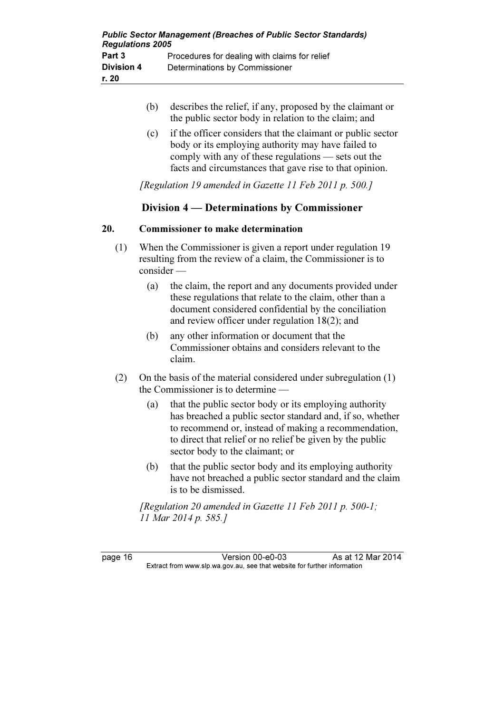| <b>Public Sector Management (Breaches of Public Sector Standards)</b><br><b>Regulations 2005</b> |                                               |  |
|--------------------------------------------------------------------------------------------------|-----------------------------------------------|--|
| Part 3                                                                                           | Procedures for dealing with claims for relief |  |
| <b>Division 4</b>                                                                                | Determinations by Commissioner                |  |
| r. 20                                                                                            |                                               |  |

- (b) describes the relief, if any, proposed by the claimant or the public sector body in relation to the claim; and
- (c) if the officer considers that the claimant or public sector body or its employing authority may have failed to comply with any of these regulations — sets out the facts and circumstances that gave rise to that opinion.

[Regulation 19 amended in Gazette 11 Feb 2011 p. 500.]

### Division 4 — Determinations by Commissioner

#### 20. Commissioner to make determination

- (1) When the Commissioner is given a report under regulation 19 resulting from the review of a claim, the Commissioner is to consider —
	- (a) the claim, the report and any documents provided under these regulations that relate to the claim, other than a document considered confidential by the conciliation and review officer under regulation 18(2); and
	- (b) any other information or document that the Commissioner obtains and considers relevant to the claim.
- (2) On the basis of the material considered under subregulation (1) the Commissioner is to determine —
	- (a) that the public sector body or its employing authority has breached a public sector standard and, if so, whether to recommend or, instead of making a recommendation, to direct that relief or no relief be given by the public sector body to the claimant; or
	- (b) that the public sector body and its employing authority have not breached a public sector standard and the claim is to be dismissed.

[Regulation 20 amended in Gazette 11 Feb 2011 p. 500-1; 11 Mar 2014 p. 585.]

page 16 Version 00-e0-03 As at 12 Mar 2014<br>Extract from www.slp.wa.gov.au, see that website for further information  $\mathbf{F}$  from which was the set that we besite for further information  $\mathbf{F}$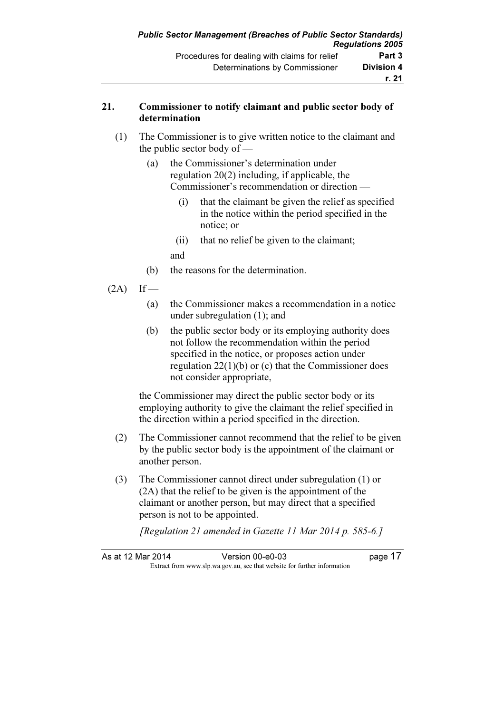### 21. Commissioner to notify claimant and public sector body of determination

- (1) The Commissioner is to give written notice to the claimant and the public sector body of —
	- (a) the Commissioner's determination under regulation 20(2) including, if applicable, the Commissioner's recommendation or direction —
		- (i) that the claimant be given the relief as specified in the notice within the period specified in the notice; or
		- (ii) that no relief be given to the claimant; and
	- (b) the reasons for the determination.
- $(2A)$  If
	- (a) the Commissioner makes a recommendation in a notice under subregulation (1); and
	- (b) the public sector body or its employing authority does not follow the recommendation within the period specified in the notice, or proposes action under regulation  $22(1)(b)$  or (c) that the Commissioner does not consider appropriate,

 the Commissioner may direct the public sector body or its employing authority to give the claimant the relief specified in the direction within a period specified in the direction.

- (2) The Commissioner cannot recommend that the relief to be given by the public sector body is the appointment of the claimant or another person.
- (3) The Commissioner cannot direct under subregulation (1) or (2A) that the relief to be given is the appointment of the claimant or another person, but may direct that a specified person is not to be appointed.

[Regulation 21 amended in Gazette 11 Mar 2014 p. 585-6.]

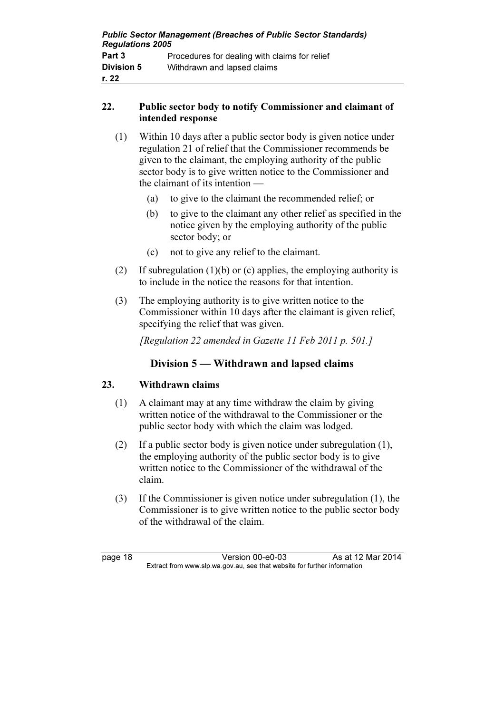### 22. Public sector body to notify Commissioner and claimant of intended response

- (1) Within 10 days after a public sector body is given notice under regulation 21 of relief that the Commissioner recommends be given to the claimant, the employing authority of the public sector body is to give written notice to the Commissioner and the claimant of its intention —
	- (a) to give to the claimant the recommended relief; or
	- (b) to give to the claimant any other relief as specified in the notice given by the employing authority of the public sector body; or
	- (c) not to give any relief to the claimant.
- (2) If subregulation  $(1)(b)$  or (c) applies, the employing authority is to include in the notice the reasons for that intention.
- (3) The employing authority is to give written notice to the Commissioner within 10 days after the claimant is given relief, specifying the relief that was given.

[Regulation 22 amended in Gazette 11 Feb 2011 p. 501.]

## Division 5 — Withdrawn and lapsed claims

#### 23. Withdrawn claims

- (1) A claimant may at any time withdraw the claim by giving written notice of the withdrawal to the Commissioner or the public sector body with which the claim was lodged.
- (2) If a public sector body is given notice under subregulation (1), the employing authority of the public sector body is to give written notice to the Commissioner of the withdrawal of the claim.
- (3) If the Commissioner is given notice under subregulation (1), the Commissioner is to give written notice to the public sector body of the withdrawal of the claim.

page 18 Version 00-e0-03 As at 12 Mar 2014<br>Extract from www.slp.wa.gov.au, see that website for further information  $\mathbf{F}$  from which was the set that we besite for further information  $\mathbf{F}$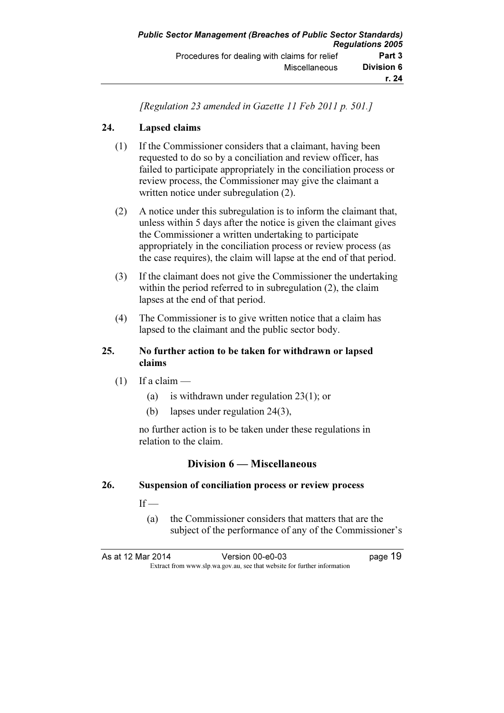[Regulation 23 amended in Gazette 11 Feb 2011 p. 501.]

### 24. Lapsed claims

- (1) If the Commissioner considers that a claimant, having been requested to do so by a conciliation and review officer, has failed to participate appropriately in the conciliation process or review process, the Commissioner may give the claimant a written notice under subregulation (2).
- (2) A notice under this subregulation is to inform the claimant that, unless within 5 days after the notice is given the claimant gives the Commissioner a written undertaking to participate appropriately in the conciliation process or review process (as the case requires), the claim will lapse at the end of that period.
- (3) If the claimant does not give the Commissioner the undertaking within the period referred to in subregulation (2), the claim lapses at the end of that period.
- (4) The Commissioner is to give written notice that a claim has lapsed to the claimant and the public sector body.

#### 25. No further action to be taken for withdrawn or lapsed claims

- $(1)$  If a claim
	- (a) is withdrawn under regulation 23(1); or
	- (b) lapses under regulation 24(3),

 no further action is to be taken under these regulations in relation to the claim.

#### Division 6 — Miscellaneous

#### 26. Suspension of conciliation process or review process

 $If -$ 

 (a) the Commissioner considers that matters that are the subject of the performance of any of the Commissioner's

| As at 12 Mar 2014                                                        |  | Version 00-e0-03 | page 19 |
|--------------------------------------------------------------------------|--|------------------|---------|
| Extract from www.slp.wa.gov.au, see that website for further information |  |                  |         |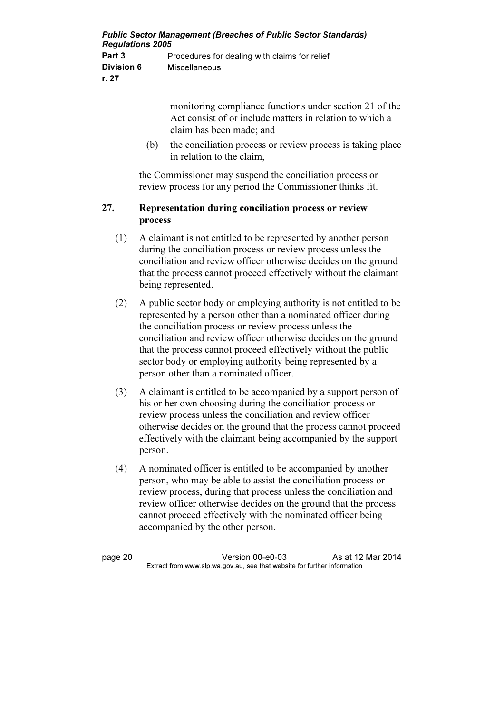monitoring compliance functions under section 21 of the Act consist of or include matters in relation to which a claim has been made; and

 (b) the conciliation process or review process is taking place in relation to the claim,

 the Commissioner may suspend the conciliation process or review process for any period the Commissioner thinks fit.

#### 27. Representation during conciliation process or review process

- (1) A claimant is not entitled to be represented by another person during the conciliation process or review process unless the conciliation and review officer otherwise decides on the ground that the process cannot proceed effectively without the claimant being represented.
- (2) A public sector body or employing authority is not entitled to be represented by a person other than a nominated officer during the conciliation process or review process unless the conciliation and review officer otherwise decides on the ground that the process cannot proceed effectively without the public sector body or employing authority being represented by a person other than a nominated officer.
- (3) A claimant is entitled to be accompanied by a support person of his or her own choosing during the conciliation process or review process unless the conciliation and review officer otherwise decides on the ground that the process cannot proceed effectively with the claimant being accompanied by the support person.
- (4) A nominated officer is entitled to be accompanied by another person, who may be able to assist the conciliation process or review process, during that process unless the conciliation and review officer otherwise decides on the ground that the process cannot proceed effectively with the nominated officer being accompanied by the other person.

page 20 Version 00-e0-03 As at 12 Mar 2014<br>Extract from www.slp.wa.gov.au, see that website for further information  $\mathbf{F}$  from which was the set that we besite for further information  $\mathbf{F}$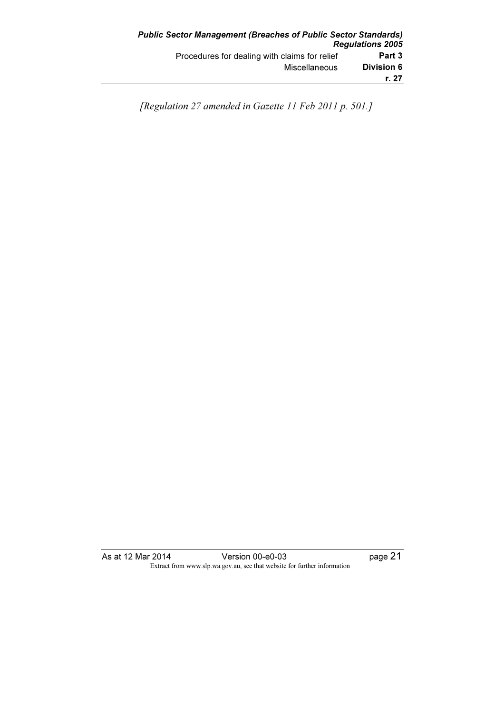[Regulation 27 amended in Gazette 11 Feb 2011 p. 501.]

As at 12 Mar 2014 Version 00-e0-03 page 21 Extract from www.slp.wa.gov.au, see that website for further information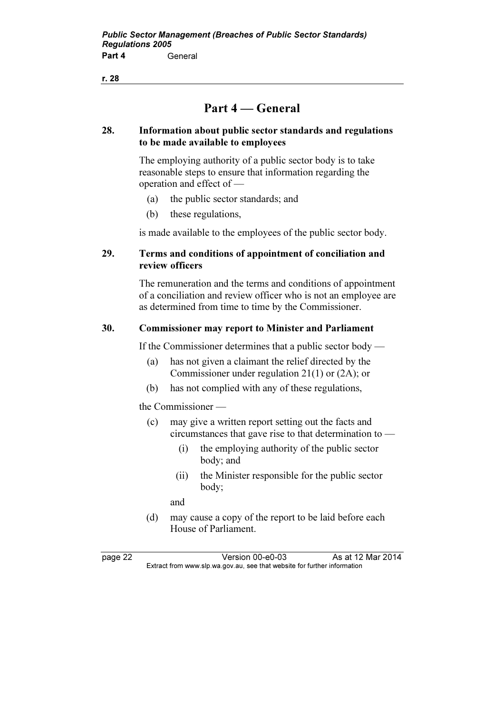## Part 4 — General

#### 28. Information about public sector standards and regulations to be made available to employees

 The employing authority of a public sector body is to take reasonable steps to ensure that information regarding the operation and effect of —

- (a) the public sector standards; and
- (b) these regulations,

is made available to the employees of the public sector body.

#### 29. Terms and conditions of appointment of conciliation and review officers

 The remuneration and the terms and conditions of appointment of a conciliation and review officer who is not an employee are as determined from time to time by the Commissioner.

#### 30. Commissioner may report to Minister and Parliament

If the Commissioner determines that a public sector body —

- (a) has not given a claimant the relief directed by the Commissioner under regulation 21(1) or (2A); or
- (b) has not complied with any of these regulations,

#### the Commissioner —

- (c) may give a written report setting out the facts and circumstances that gave rise to that determination to —
	- (i) the employing authority of the public sector body; and
	- (ii) the Minister responsible for the public sector body;
	- and
- (d) may cause a copy of the report to be laid before each House of Parliament.

page 22 Version 00-e0-03 As at 12 Mar 2014<br>Extract from www.slp.wa.gov.au, see that website for further information  $\mathbf{F}$  from which was the set that we besite for further information  $\mathbf{F}$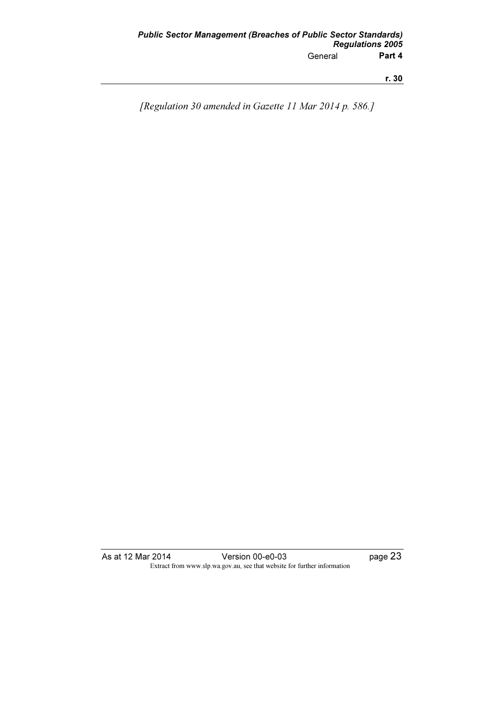[Regulation 30 amended in Gazette 11 Mar 2014 p. 586.]

As at 12 Mar 2014 Version 00-e0-03 page 23 Extract from www.slp.wa.gov.au, see that website for further information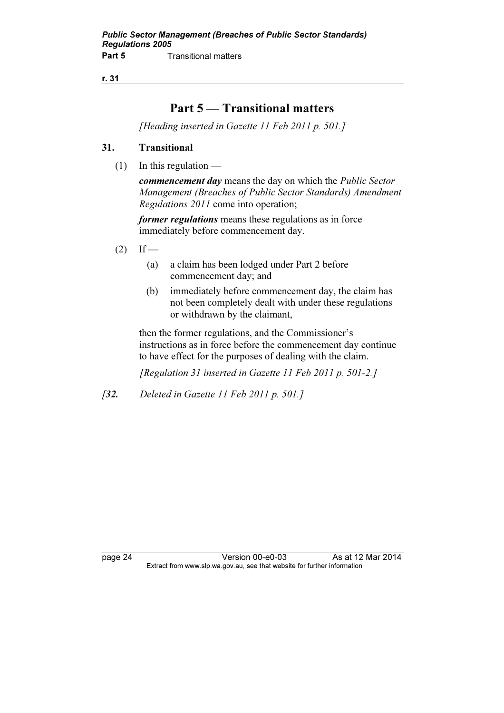## Part 5 — Transitional matters

[Heading inserted in Gazette 11 Feb 2011 p. 501.]

#### 31. Transitional

 $(1)$  In this regulation —

commencement day means the day on which the Public Sector Management (Breaches of Public Sector Standards) Amendment Regulations 2011 come into operation;

former regulations means these regulations as in force immediately before commencement day.

- $(2)$  If
	- (a) a claim has been lodged under Part 2 before commencement day; and
	- (b) immediately before commencement day, the claim has not been completely dealt with under these regulations or withdrawn by the claimant,

 then the former regulations, and the Commissioner's instructions as in force before the commencement day continue to have effect for the purposes of dealing with the claim.

[Regulation 31 inserted in Gazette 11 Feb 2011 p. 501-2.]

[32. Deleted in Gazette 11 Feb 2011 p. 501.]

page 24 Version 00-e0-03 As at 12 Mar 2014<br>Extract from www.slp.wa.gov.au, see that website for further information  $\mathbf{F}$  from which was the set that we besite for further information  $\mathbf{F}$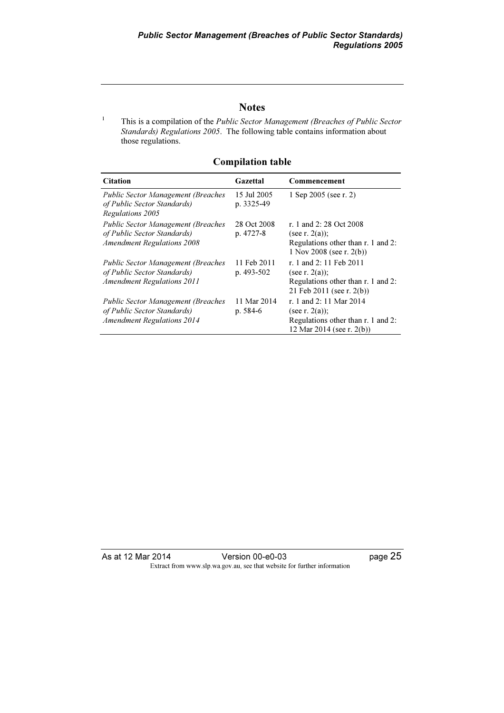#### **Notes**

1

 This is a compilation of the Public Sector Management (Breaches of Public Sector Standards) Regulations 2005. The following table contains information about those regulations.

|  | <b>Compilation table</b> |  |
|--|--------------------------|--|
|--|--------------------------|--|

| <b>Citation</b>                                                                                                | Gazettal                  | Commencement                                                                                                       |
|----------------------------------------------------------------------------------------------------------------|---------------------------|--------------------------------------------------------------------------------------------------------------------|
| <b>Public Sector Management (Breaches)</b><br>of Public Sector Standards)<br>Regulations 2005                  | 15 Jul 2005<br>p. 3325-49 | 1 Sep 2005 (see r. 2)                                                                                              |
| <b>Public Sector Management (Breaches</b><br>of Public Sector Standards)<br><b>Amendment Regulations 2008</b>  | 28 Oct 2008<br>p. 4727-8  | r. 1 and 2: 28 Oct 2008<br>(see r. $2(a)$ );<br>Regulations other than r. 1 and 2:<br>1 Nov 2008 (see r. $2(b)$ )  |
| <b>Public Sector Management (Breaches)</b><br>of Public Sector Standards)<br><b>Amendment Regulations 2011</b> | 11 Feb 2011<br>p. 493-502 | r. 1 and 2: 11 Feb 2011<br>(see r. $2(a)$ );<br>Regulations other than r. 1 and 2:<br>21 Feb 2011 (see r. $2(b)$ ) |
| <b>Public Sector Management (Breaches)</b><br>of Public Sector Standards)<br><b>Amendment Regulations 2014</b> | 11 Mar 2014<br>$p.584-6$  | r. 1 and 2: 11 Mar 2014<br>(see r. $2(a)$ );<br>Regulations other than r. 1 and 2:<br>12 Mar 2014 (see r. 2(b))    |

As at 12 Mar 2014 Version 00-e0-03 page 25 Extract from www.slp.wa.gov.au, see that website for further information